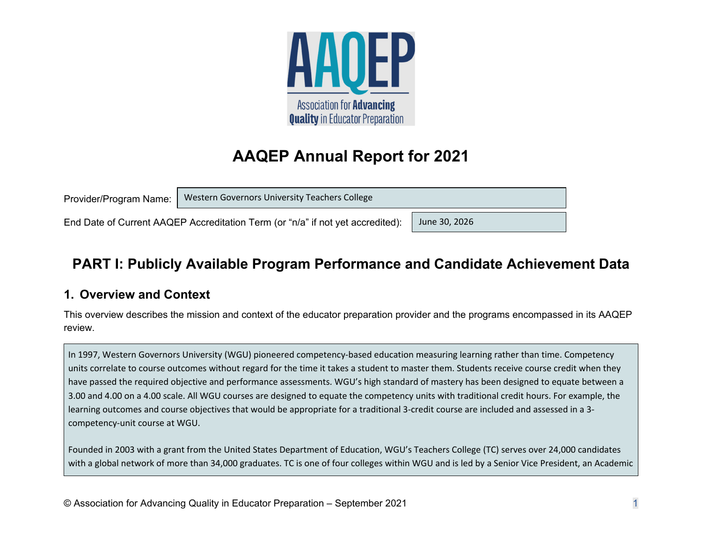

# **AAQEP Annual Report for 2021**

| Provider/Program Name: | Western Governors University Teachers College                                  |               |
|------------------------|--------------------------------------------------------------------------------|---------------|
|                        | End Date of Current AAQEP Accreditation Term (or "n/a" if not yet accredited): | June 30, 2026 |

# **PART I: Publicly Available Program Performance and Candidate Achievement Data**

## **1. Overview and Context**

This overview describes the mission and context of the educator preparation provider and the programs encompassed in its AAQEP review.

In 1997, Western Governors University (WGU) pioneered competency‐based education measuring learning rather than time. Competency units correlate to course outcomes without regard for the time it takes <sup>a</sup> student to master them. Students receive course credit when they have passed the required objective and performance assessments. WGU's high standard of mastery has been designed to equate between <sup>a</sup> 3.00 and 4.00 on <sup>a</sup> 4.00 scale. All WGU courses are designed to equate the competency units with traditional credit hours. For example, the learning outcomes and course objectives that would be appropriate for <sup>a</sup> traditional 3‐credit course are included and assessed in <sup>a</sup> 3‐ competency‐unit course at WGU.

Founded in 2003 with <sup>a</sup> grant from the United States Department of Education, WGU's Teachers College (TC) serves over 24,000 candidates with <sup>a</sup> global network of more than 34,000 graduates. TC is one of four colleges within WGU and is led by <sup>a</sup> Senior Vice President, an Academic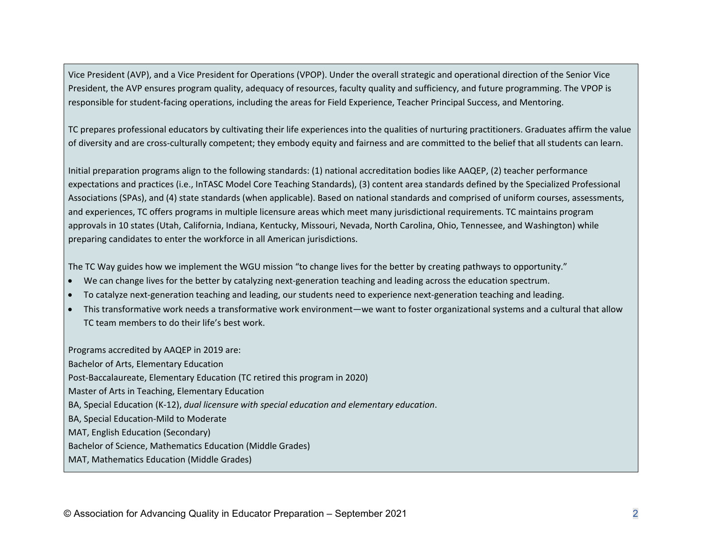Vice President (AVP), and <sup>a</sup> Vice President for Operations (VPOP). Under the overall strategic and operational direction of the Senior Vice President, the AVP ensures program quality, adequacy of resources, faculty quality and sufficiency, and future programming. The VPOP is responsible for student‐facing operations, including the areas for Field Experience, Teacher Principal Success, and Mentoring.

TC prepares professional educators by cultivating their life experiences into the qualities of nurturing practitioners. Graduates affirm the value of diversity and are cross‐culturally competent; they embody equity and fairness and are committed to the belief that all students can learn.

Initial preparation programs align to the following standards: (1) national accreditation bodies like AAQEP, (2) teacher performance expectations and practices (i.e., InTASC Model Core Teaching Standards), (3) content area standards defined by the Specialized Professional Associations (SPAs), and (4) state standards (when applicable). Based on national standards and comprised of uniform courses, assessments, and experiences, TC offers programs in multiple licensure areas which meet many jurisdictional requirements. TC maintains program approvals in 10 states (Utah, California, Indiana, Kentucky, Missouri, Nevada, North Carolina, Ohio, Tennessee, and Washington) while preparing candidates to enter the workforce in all American jurisdictions.

The TC Way guides how we implement the WGU mission "to change lives for the better by creating pathways to opportunity."

- We can change lives for the better by catalyzing next‐generation teaching and leading across the education spectrum.
- To catalyze next‐generation teaching and leading, our students need to experience next‐generation teaching and leading.
- This transformative work needs <sup>a</sup> transformative work environment—we want to foster organizational systems and <sup>a</sup> cultural that allow TC team members to do their life's best work.

Programs accredited by AAQEP in 2019 are: Bachelor of Arts, Elementary Education Post‐Baccalaureate, Elementary Education (TC retired this program in 2020) Master of Arts in Teaching, Elementary Education BA, Special Education (K‐12), *dual licensure with special education and elementary education*. BA, Special Education‐Mild to Moderate MAT, English Education (Secondary) Bachelor of Science, Mathematics Education (Middle Grades) MAT, Mathematics Education (Middle Grades)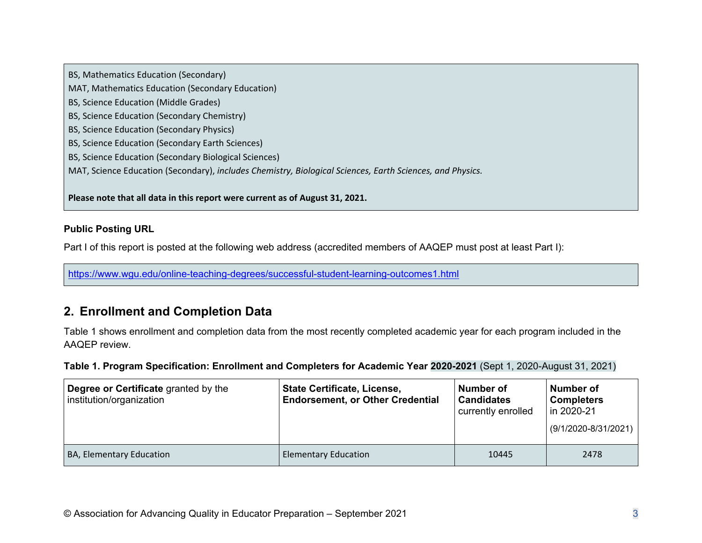BS, Mathematics Education (Secondary) MAT, Mathematics Education (Secondary Education) BS, Science Education (Middle Grades) BS, Science Education (Secondary Chemistry) BS, Science Education (Secondary Physics) BS, Science Education (Secondary Earth Sciences) BS, Science Education (Secondary Biological Sciences) MAT, Science Education (Secondary), *includes Chemistry, Biological Sciences, Earth Sciences, and Physics.*

**Please note that all data in this report were current as of August 31, 2021.**

### **Public Posting URL**

Part I of this report is posted at the following web address (accredited members of AAQEP must post at least Part I):

https://www.wgu.edu/online-teaching-degrees/successful-student-learning-outcomes1.html

## **2. Enrollment and Completion Data**

Table 1 shows enrollment and completion data from the most recently completed academic year for each program included in the AAQEP review.

**Table 1. Program Specification: Enrollment and Completers for Academic Year 2020-2021** (Sept 1, 2020-August 31, 2021)

| Degree or Certificate granted by the<br>institution/organization | <b>State Certificate, License,</b><br><b>Endorsement, or Other Credential</b> | Number of<br><b>Candidates</b><br>currently enrolled | Number of<br><b>Completers</b><br>in 2020-21<br>$(9/1/2020 - 8/31/2021)$ |
|------------------------------------------------------------------|-------------------------------------------------------------------------------|------------------------------------------------------|--------------------------------------------------------------------------|
| BA, Elementary Education                                         | <b>Elementary Education</b>                                                   | 10445                                                | 2478                                                                     |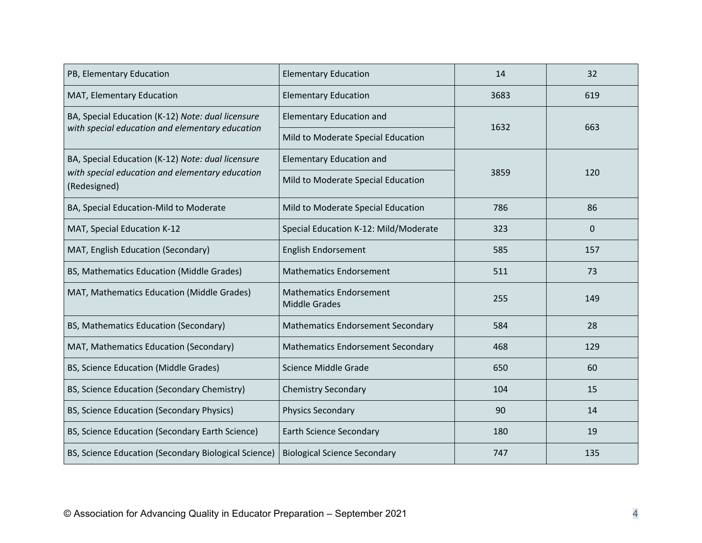| PB, Elementary Education                                        | <b>Elementary Education</b>                            | 14   | 32       |
|-----------------------------------------------------------------|--------------------------------------------------------|------|----------|
| MAT, Elementary Education                                       | <b>Elementary Education</b>                            | 3683 | 619      |
| BA, Special Education (K-12) Note: dual licensure               | <b>Elementary Education and</b>                        | 1632 | 663      |
| with special education and elementary education                 | Mild to Moderate Special Education                     |      |          |
| BA, Special Education (K-12) Note: dual licensure               | <b>Elementary Education and</b>                        |      |          |
| with special education and elementary education<br>(Redesigned) | Mild to Moderate Special Education                     | 3859 | 120      |
| BA, Special Education-Mild to Moderate                          | Mild to Moderate Special Education                     | 786  | 86       |
| MAT, Special Education K-12                                     | Special Education K-12: Mild/Moderate                  | 323  | $\Omega$ |
| MAT, English Education (Secondary)                              | English Endorsement                                    | 585  | 157      |
| BS, Mathematics Education (Middle Grades)                       | <b>Mathematics Endorsement</b>                         | 511  | 73       |
| MAT, Mathematics Education (Middle Grades)                      | <b>Mathematics Endorsement</b><br><b>Middle Grades</b> | 255  | 149      |
| BS, Mathematics Education (Secondary)                           | <b>Mathematics Endorsement Secondary</b>               | 584  | 28       |
| MAT, Mathematics Education (Secondary)                          | <b>Mathematics Endorsement Secondary</b>               | 468  | 129      |
| BS, Science Education (Middle Grades)                           | Science Middle Grade                                   | 650  | 60       |
| BS, Science Education (Secondary Chemistry)                     | <b>Chemistry Secondary</b>                             | 104  | 15       |
| BS, Science Education (Secondary Physics)                       | <b>Physics Secondary</b>                               | 90   | 14       |
| BS, Science Education (Secondary Earth Science)                 | <b>Earth Science Secondary</b>                         | 180  | 19       |
| BS, Science Education (Secondary Biological Science)            | <b>Biological Science Secondary</b>                    | 747  | 135      |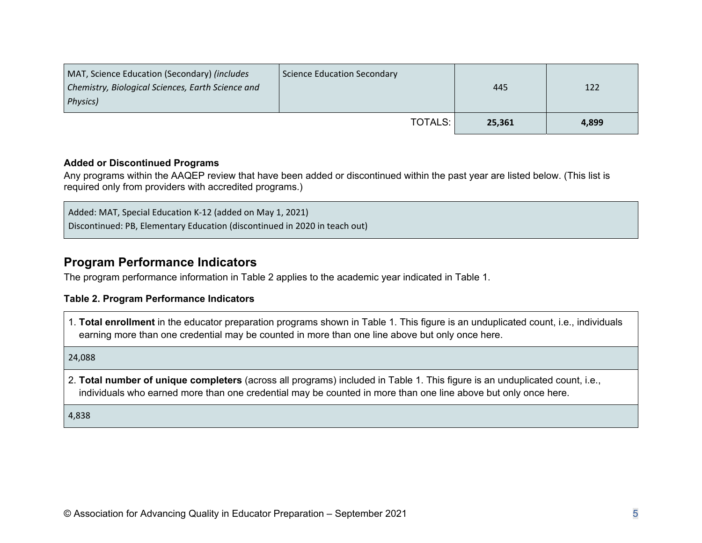| MAT, Science Education (Secondary) (includes<br>Chemistry, Biological Sciences, Earth Science and<br>Physics) | <b>Science Education Secondary</b> | 445    | 122   |
|---------------------------------------------------------------------------------------------------------------|------------------------------------|--------|-------|
|                                                                                                               | <b>TOTALS:</b>                     | 25.361 | 4,899 |

#### **Added or Discontinued Programs**

Any programs within the AAQEP review that have been added or discontinued within the past year are listed below. (This list is required only from providers with accredited programs.)

Added: MAT, Special Education K‐12 (added on May 1, 2021) Discontinued: PB, Elementary Education (discontinued in 2020 in teach out)

### **Program Performance Indicators**

The program performance information in Table 2 applies to the academic year indicated in Table 1.

#### **Table 2. Program Performance Indicators**

1. **Total enrollment** in the educator preparation programs shown in Table 1. This figure is an unduplicated count, i.e., individuals earning more than one credential may be counted in more than one line above but only once here.

24,088

2. **Total number of unique completers** (across all programs) included in Table 1. This figure is an unduplicated count, i.e., individuals who earned more than one credential may be counted in more than one line above but only once here.

4,838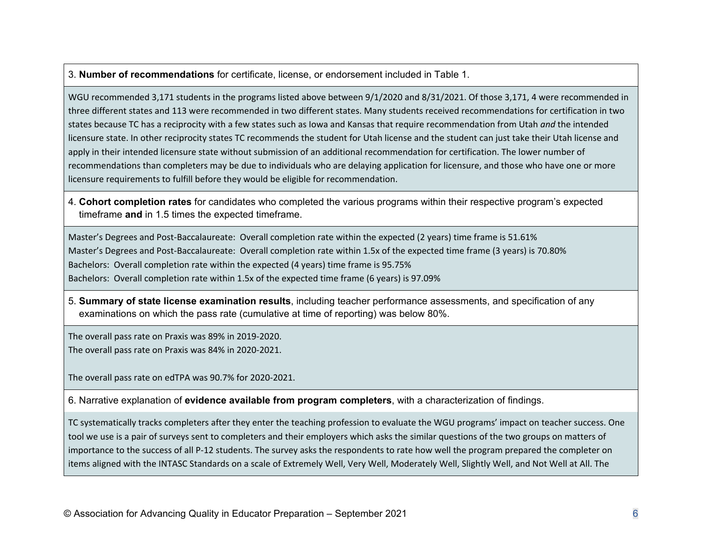3. **Number of recommendations** for certificate, license, or endorsement included in Table 1.

WGU recommended 3,171 students in the programs listed above between 9/1/2020 and 8/31/2021. Of those 3,171, 4 were recommended in three different states and 113 were recommended in two different states. Many students received recommendations for certification in two states because TC has <sup>a</sup> reciprocity with <sup>a</sup> few states such as Iowa and Kansas that require recommendation from Utah *and* the intended licensure state. In other reciprocity states TC recommends the student for Utah license and the student can just take their Utah license and apply in their intended licensure state without submission of an additional recommendation for certification. The lower number of recommendations than completers may be due to individuals who are delaying application for licensure, and those who have one or more licensure requirements to fulfill before they would be eligible for recommendation.

4. **Cohort completion rates** for candidates who completed the various programs within their respective program's expected timeframe **and** in 1.5 times the expected timeframe.

Master's Degrees and Post‐Baccalaureate: Overall completion rate within the expected (2 years) time frame is 51.61% Master's Degrees and Post‐Baccalaureate: Overall completion rate within 1.5x of the expected time frame (3 years) is 70.80% Bachelors: Overall completion rate within the expected (4 years) time frame is 95.75% Bachelors: Overall completion rate within 1.5x of the expected time frame (6 years) is 97.09%

5. **Summary of state license examination results**, including teacher performance assessments, and specification of any examinations on which the pass rate (cumulative at time of reporting) was below 80%.

The overall pass rate on Praxis was 89% in 2019‐2020. The overall pass rate on Praxis was 84% in 2020‐2021.

The overall pass rate on edTPA was 90.7% for 2020‐2021.

6. Narrative explanation of **evidence available from program completers**, with a characterization of findings.

TC systematically tracks completers after they enter the teaching profession to evaluate the WGU programs' impact on teacher success. One tool we use is <sup>a</sup> pair of surveys sent to completers and their employers which asks the similar questions of the two groups on matters of importance to the success of all P‐12 students. The survey asks the respondents to rate how well the program prepared the completer on items aligned with the INTASC Standards on <sup>a</sup> scale of Extremely Well, Very Well, Moderately Well, Slightly Well, and Not Well at All. The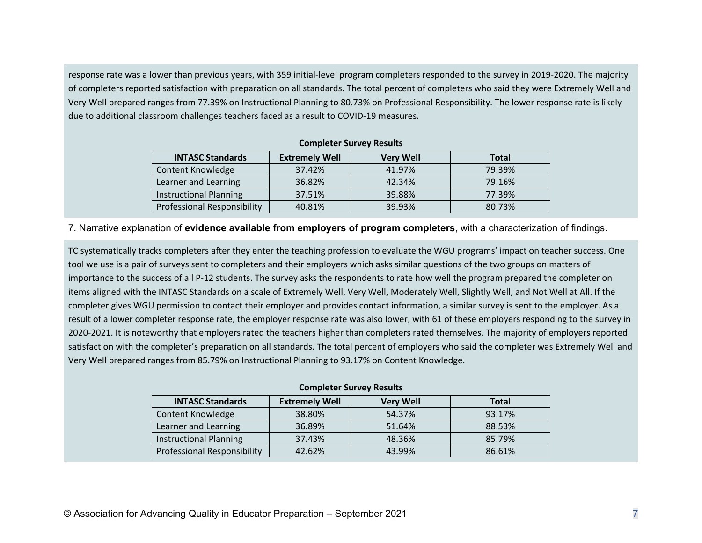response rate was a lower than previous years, with 359 initial-level program completers responded to the survey in 2019-2020. The majority of completers reported satisfaction with preparation on all standards. The total percent of completers who said they were Extremely Well and Very Well prepared ranges from 77.39% on Instructional Planning to 80.73% on Professional Responsibility. The lower response rate is likely due to additional classroom challenges teachers faced as <sup>a</sup> result to COVID‐19 measures.

#### **Completer Survey Results**

| <b>INTASC Standards</b>            | <b>Extremely Well</b> | <b>Very Well</b> | <b>Total</b> |
|------------------------------------|-----------------------|------------------|--------------|
| Content Knowledge                  | 37.42%                | 41.97%           | 79.39%       |
| Learner and Learning               | 36.82%                | 42.34%           | 79.16%       |
| <b>Instructional Planning</b>      | 37.51%                | 39.88%           | 77.39%       |
| <b>Professional Responsibility</b> | 40.81%                | 39.93%           | 80.73%       |

7. Narrative explanation of **evidence available from employers of program completers**, with a characterization of findings.

TC systematically tracks completers after they enter the teaching profession to evaluate the WGU programs' impact on teacher success. One tool we use is <sup>a</sup> pair of surveys sent to completers and their employers which asks similar questions of the two groups on matters of importance to the success of all P‐12 students. The survey asks the respondents to rate how well the program prepared the completer on items aligned with the INTASC Standards on <sup>a</sup> scale of Extremely Well, Very Well, Moderately Well, Slightly Well, and Not Well at All. If the completer gives WGU permission to contact their employer and provides contact information, <sup>a</sup> similar survey is sent to the employer. As <sup>a</sup> result of <sup>a</sup> lower completer response rate, the employer response rate was also lower, with 61 of these employers responding to the survey in 2020‐2021. It is noteworthy that employers rated the teachers higher than completers rated themselves. The majority of employers reported satisfaction with the completer's preparation on all standards. The total percent of employers who said the completer was Extremely Well and Very Well prepared ranges from 85.79% on Instructional Planning to 93.17% on Content Knowledge.

| <b>Completer Survey Results</b> |                       |                  |              |
|---------------------------------|-----------------------|------------------|--------------|
| <b>INTASC Standards</b>         | <b>Extremely Well</b> | <b>Very Well</b> | <b>Total</b> |
| Content Knowledge               | 38.80%                | 54.37%           | 93.17%       |
| Learner and Learning            | 36.89%                | 51.64%           | 88.53%       |
| <b>Instructional Planning</b>   | 37.43%                | 48.36%           | 85.79%       |
| Professional Responsibility     | 42.62%                | 43.99%           | 86.61%       |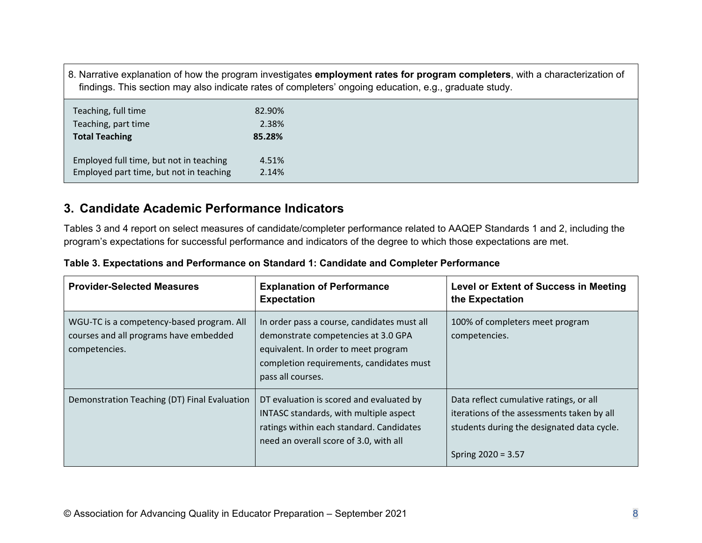8. Narrative explanation of how the program investigates **employment rates for program completers**, with a characterization of findings. This section may also indicate rates of completers' ongoing education, e.g., graduate study.

| Teaching, full time                     | 82.90% |
|-----------------------------------------|--------|
| Teaching, part time                     | 2.38%  |
| <b>Total Teaching</b>                   | 85.28% |
| Employed full time, but not in teaching | 4.51%  |
|                                         |        |

## **3. Candidate Academic Performance Indicators**

Tables 3 and 4 report on select measures of candidate/completer performance related to AAQEP Standards 1 and 2, including the program's expectations for successful performance and indicators of the degree to which those expectations are met.

| <b>Provider-Selected Measures</b>                                                                    | <b>Explanation of Performance</b><br><b>Expectation</b>                                                                                                                                     | <b>Level or Extent of Success in Meeting</b><br>the Expectation                                                                                             |
|------------------------------------------------------------------------------------------------------|---------------------------------------------------------------------------------------------------------------------------------------------------------------------------------------------|-------------------------------------------------------------------------------------------------------------------------------------------------------------|
| WGU-TC is a competency-based program. All<br>courses and all programs have embedded<br>competencies. | In order pass a course, candidates must all<br>demonstrate competencies at 3.0 GPA<br>equivalent. In order to meet program<br>completion requirements, candidates must<br>pass all courses. | 100% of completers meet program<br>competencies.                                                                                                            |
| Demonstration Teaching (DT) Final Evaluation                                                         | DT evaluation is scored and evaluated by<br>INTASC standards, with multiple aspect<br>ratings within each standard. Candidates<br>need an overall score of 3.0, with all                    | Data reflect cumulative ratings, or all<br>iterations of the assessments taken by all<br>students during the designated data cycle.<br>Spring $2020 = 3.57$ |

#### **Table 3. Expectations and Performance on Standard 1: Candidate and Completer Performance**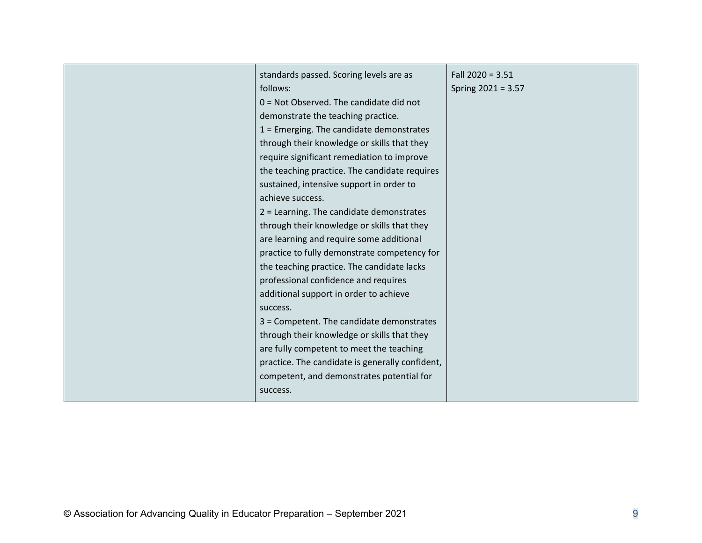| standards passed. Scoring levels are as         | Fall $2020 = 3.51$ |
|-------------------------------------------------|--------------------|
| follows:                                        | Spring 2021 = 3.57 |
| $0 = Not Observed.$ The candidate did not       |                    |
| demonstrate the teaching practice.              |                    |
| $1$ = Emerging. The candidate demonstrates      |                    |
| through their knowledge or skills that they     |                    |
| require significant remediation to improve      |                    |
| the teaching practice. The candidate requires   |                    |
| sustained, intensive support in order to        |                    |
| achieve success.                                |                    |
| 2 = Learning. The candidate demonstrates        |                    |
| through their knowledge or skills that they     |                    |
| are learning and require some additional        |                    |
| practice to fully demonstrate competency for    |                    |
| the teaching practice. The candidate lacks      |                    |
| professional confidence and requires            |                    |
| additional support in order to achieve          |                    |
| success.                                        |                    |
| 3 = Competent. The candidate demonstrates       |                    |
| through their knowledge or skills that they     |                    |
| are fully competent to meet the teaching        |                    |
| practice. The candidate is generally confident, |                    |
| competent, and demonstrates potential for       |                    |
| success.                                        |                    |
|                                                 |                    |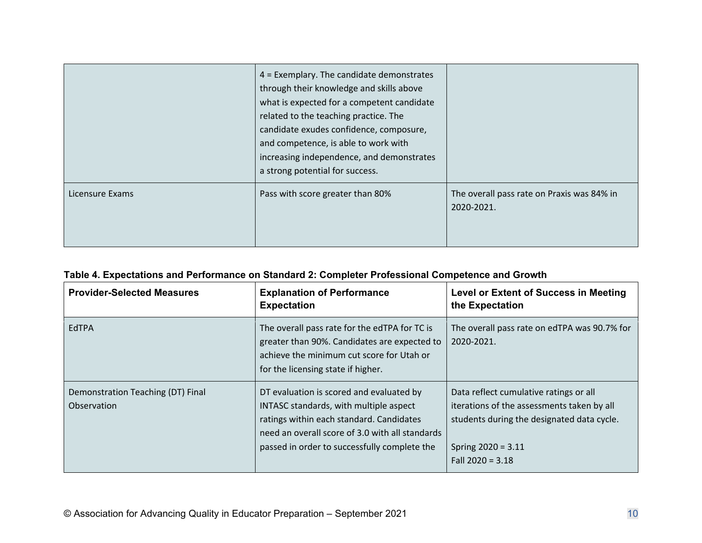|                 | $4$ = Exemplary. The candidate demonstrates<br>through their knowledge and skills above<br>what is expected for a competent candidate<br>related to the teaching practice. The<br>candidate exudes confidence, composure,<br>and competence, is able to work with<br>increasing independence, and demonstrates<br>a strong potential for success. |                                                          |
|-----------------|---------------------------------------------------------------------------------------------------------------------------------------------------------------------------------------------------------------------------------------------------------------------------------------------------------------------------------------------------|----------------------------------------------------------|
| Licensure Exams | Pass with score greater than 80%                                                                                                                                                                                                                                                                                                                  | The overall pass rate on Praxis was 84% in<br>2020-2021. |

### **Table 4. Expectations and Performance on Standard 2: Completer Professional Competence and Growth**

| <b>Provider-Selected Measures</b>                | <b>Explanation of Performance</b><br><b>Expectation</b>                                                                                                                                                                           | <b>Level or Extent of Success in Meeting</b><br>the Expectation                                                                                                                  |
|--------------------------------------------------|-----------------------------------------------------------------------------------------------------------------------------------------------------------------------------------------------------------------------------------|----------------------------------------------------------------------------------------------------------------------------------------------------------------------------------|
| EdTPA                                            | The overall pass rate for the edTPA for TC is<br>greater than 90%. Candidates are expected to<br>achieve the minimum cut score for Utah or<br>for the licensing state if higher.                                                  | The overall pass rate on edTPA was 90.7% for<br>2020-2021.                                                                                                                       |
| Demonstration Teaching (DT) Final<br>Observation | DT evaluation is scored and evaluated by<br>INTASC standards, with multiple aspect<br>ratings within each standard. Candidates<br>need an overall score of 3.0 with all standards<br>passed in order to successfully complete the | Data reflect cumulative ratings or all<br>iterations of the assessments taken by all<br>students during the designated data cycle.<br>Spring $2020 = 3.11$<br>Fall $2020 = 3.18$ |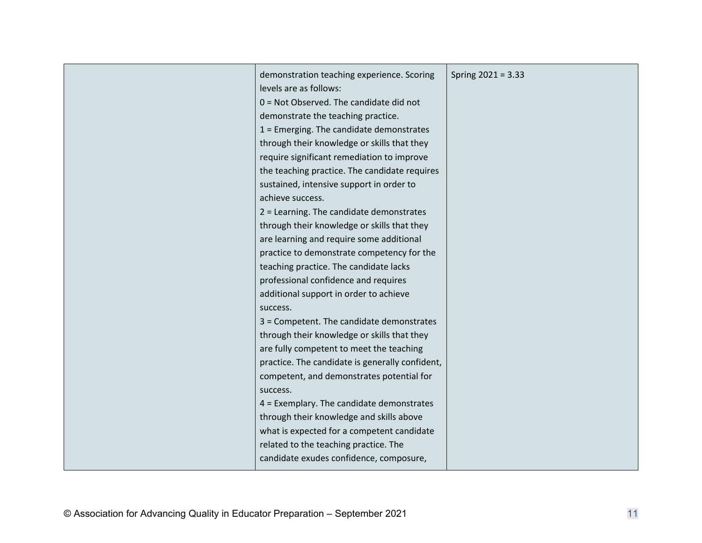|  | demonstration teaching experience. Scoring<br>levels are as follows:<br>$0 = Not Observed.$ The candidate did not<br>demonstrate the teaching practice.<br>$1$ = Emerging. The candidate demonstrates<br>through their knowledge or skills that they<br>require significant remediation to improve<br>the teaching practice. The candidate requires<br>sustained, intensive support in order to<br>achieve success.<br>2 = Learning. The candidate demonstrates<br>through their knowledge or skills that they<br>are learning and require some additional<br>practice to demonstrate competency for the<br>teaching practice. The candidate lacks<br>professional confidence and requires<br>additional support in order to achieve<br>success.<br>3 = Competent. The candidate demonstrates<br>through their knowledge or skills that they<br>are fully competent to meet the teaching<br>practice. The candidate is generally confident,<br>competent, and demonstrates potential for<br>success.<br>$4$ = Exemplary. The candidate demonstrates<br>through their knowledge and skills above<br>what is expected for a competent candidate<br>related to the teaching practice. The<br>candidate exudes confidence, composure, | Spring $2021 = 3.33$ |
|--|-----------------------------------------------------------------------------------------------------------------------------------------------------------------------------------------------------------------------------------------------------------------------------------------------------------------------------------------------------------------------------------------------------------------------------------------------------------------------------------------------------------------------------------------------------------------------------------------------------------------------------------------------------------------------------------------------------------------------------------------------------------------------------------------------------------------------------------------------------------------------------------------------------------------------------------------------------------------------------------------------------------------------------------------------------------------------------------------------------------------------------------------------------------------------------------------------------------------------------------|----------------------|
|--|-----------------------------------------------------------------------------------------------------------------------------------------------------------------------------------------------------------------------------------------------------------------------------------------------------------------------------------------------------------------------------------------------------------------------------------------------------------------------------------------------------------------------------------------------------------------------------------------------------------------------------------------------------------------------------------------------------------------------------------------------------------------------------------------------------------------------------------------------------------------------------------------------------------------------------------------------------------------------------------------------------------------------------------------------------------------------------------------------------------------------------------------------------------------------------------------------------------------------------------|----------------------|